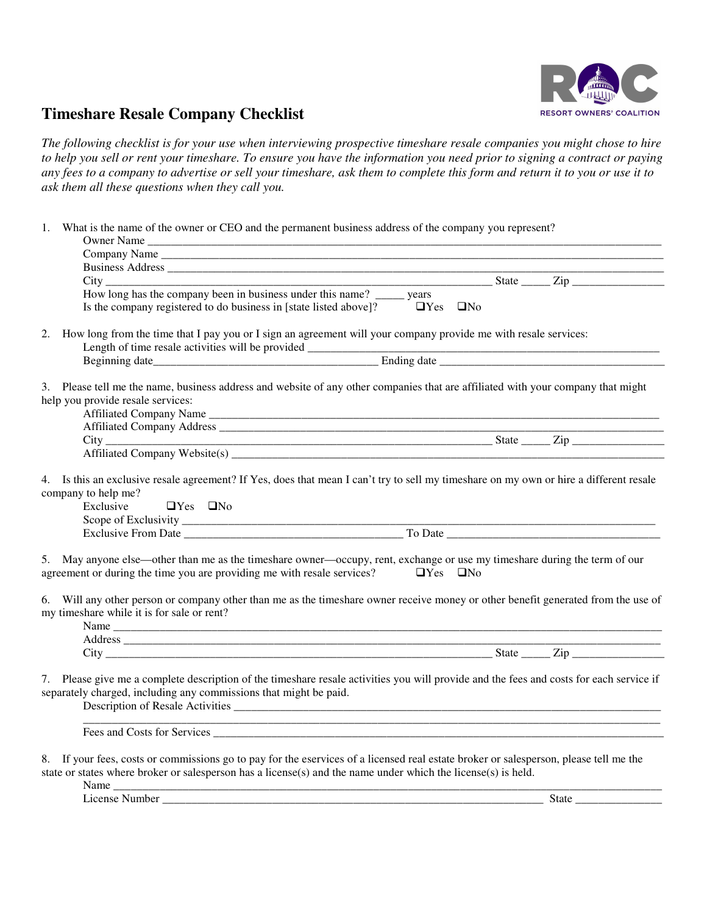

## **Timeshare Resale Company Checklist**

*The following checklist is for your use when interviewing prospective timeshare resale companies you might chose to hire to help you sell or rent your timeshare. To ensure you have the information you need prior to signing a contract or paying any fees to a company to advertise or sell your timeshare, ask them to complete this form and return it to you or use it to ask them all these questions when they call you.* 

| Owner Name                                                                                                            |                                                                                                                                                                                                                                                                                                           |
|-----------------------------------------------------------------------------------------------------------------------|-----------------------------------------------------------------------------------------------------------------------------------------------------------------------------------------------------------------------------------------------------------------------------------------------------------|
|                                                                                                                       |                                                                                                                                                                                                                                                                                                           |
|                                                                                                                       |                                                                                                                                                                                                                                                                                                           |
|                                                                                                                       |                                                                                                                                                                                                                                                                                                           |
| How long has the company been in business under this name? ______ years                                               |                                                                                                                                                                                                                                                                                                           |
| Is the company registered to do business in [state listed above]? $\Box$ Yes $\Box$ No                                |                                                                                                                                                                                                                                                                                                           |
| 2.                                                                                                                    | How long from the time that I pay you or I sign an agreement will your company provide me with resale services:                                                                                                                                                                                           |
|                                                                                                                       |                                                                                                                                                                                                                                                                                                           |
|                                                                                                                       |                                                                                                                                                                                                                                                                                                           |
| help you provide resale services:                                                                                     | 3. Please tell me the name, business address and website of any other companies that are affiliated with your company that might                                                                                                                                                                          |
|                                                                                                                       |                                                                                                                                                                                                                                                                                                           |
|                                                                                                                       |                                                                                                                                                                                                                                                                                                           |
|                                                                                                                       | City<br>Affiliated Company Website(s)<br><u>City</u><br>State<br><u>City</u><br>State<br>City<br>City<br>City<br>City<br>City<br>City<br>City<br>City<br>City<br>City<br>City<br>City<br>City<br>City<br>City<br>City<br>City<br>City<br>City<br>City<br>City<br>City<br>City<br>City<br>City<br>City<br> |
| agreement or during the time you are providing me with resale services? $\Box$ Yes $\Box$ No                          | 5. May anyone else—other than me as the timeshare owner—occupy, rent, exchange or use my timeshare during the term of our                                                                                                                                                                                 |
| 6.<br>my timeshare while it is for sale or rent?                                                                      | Will any other person or company other than me as the timeshare owner receive money or other benefit generated from the use of                                                                                                                                                                            |
|                                                                                                                       |                                                                                                                                                                                                                                                                                                           |
|                                                                                                                       |                                                                                                                                                                                                                                                                                                           |
| separately charged, including any commissions that might be paid.                                                     | 7. Please give me a complete description of the timeshare resale activities you will provide and the fees and costs for each service if                                                                                                                                                                   |
|                                                                                                                       | Fees and Costs for Services <u>contained a service</u> contained a service of the service of the service of the service of the service of the service of the service of the service of the service of the service of the service of                                                                       |
| state or states where broker or salesperson has a license(s) and the name under which the license(s) is held.<br>Name | 8. If your fees, costs or commissions go to pay for the eservices of a licensed real estate broker or salesperson, please tell me the                                                                                                                                                                     |

License Number \_\_\_\_\_\_\_\_\_\_\_\_\_\_\_\_\_\_\_\_\_\_\_\_\_\_\_\_\_\_\_\_\_\_\_\_\_\_\_\_\_\_\_\_\_\_\_\_\_\_\_\_\_\_\_\_\_\_\_\_\_\_\_\_\_\_ State \_\_\_\_\_\_\_\_\_\_\_\_\_\_\_